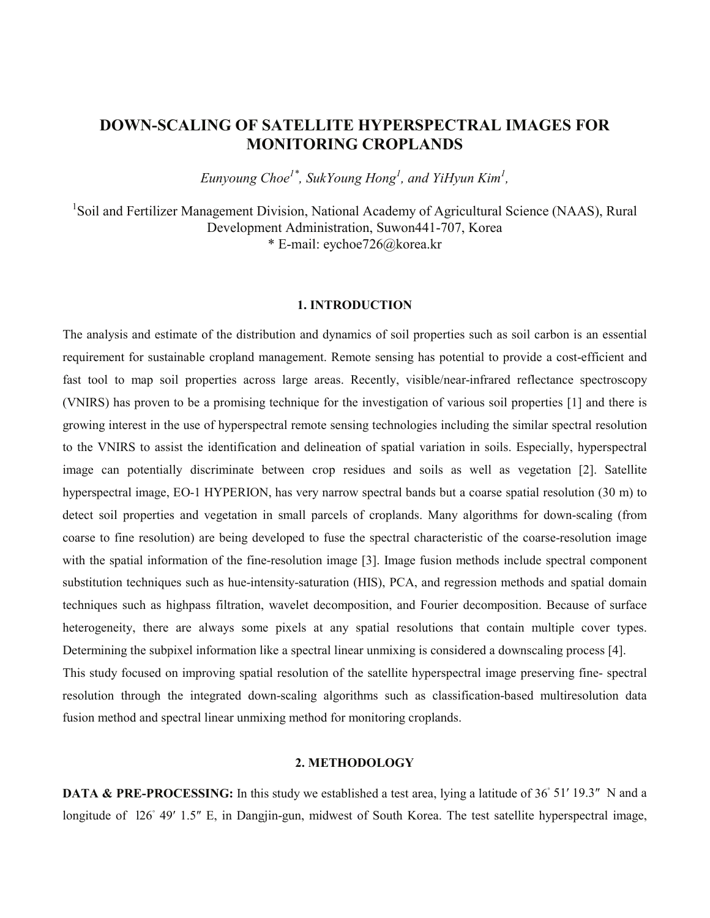# **DOWN-SCALING OF SATELLITE HYPERSPECTRAL IMAGES FOR MONITORING CROPLANDS**

*Eunyoung Choe1\*, SukYoung Hong1 , and YiHyun Kim1 ,*

<sup>1</sup>Soil and Fertilizer Management Division, National Academy of Agricultural Science (NAAS), Rural Development Administration, Suwon441-707, Korea \* E-mail: eychoe726@korea.kr

## **1. INTRODUCTION**

The analysis and estimate of the distribution and dynamics of soil properties such as soil carbon is an essential requirement for sustainable cropland management. Remote sensing has potential to provide a cost-efficient and fast tool to map soil properties across large areas. Recently, visible/near-infrared reflectance spectroscopy (VNIRS) has proven to be a promising technique for the investigation of various soil properties [1] and there is growing interest in the use of hyperspectral remote sensing technologies including the similar spectral resolution to the VNIRS to assist the identification and delineation of spatial variation in soils. Especially, hyperspectral image can potentially discriminate between crop residues and soils as well as vegetation [2]. Satellite hyperspectral image, EO-1 HYPERION, has very narrow spectral bands but a coarse spatial resolution (30 m) to detect soil properties and vegetation in small parcels of croplands. Many algorithms for down-scaling (from coarse to fine resolution) are being developed to fuse the spectral characteristic of the coarse-resolution image with the spatial information of the fine-resolution image [3]. Image fusion methods include spectral component substitution techniques such as hue-intensity-saturation (HIS), PCA, and regression methods and spatial domain techniques such as highpass filtration, wavelet decomposition, and Fourier decomposition. Because of surface heterogeneity, there are always some pixels at any spatial resolutions that contain multiple cover types. Determining the subpixel information like a spectral linear unmixing is considered a downscaling process [4]. This study focused on improving spatial resolution of the satellite hyperspectral image preserving fine- spectral resolution through the integrated down-scaling algorithms such as classification-based multiresolution data fusion method and spectral linear unmixing method for monitoring croplands.

## **2. METHODOLOGY**

**DATA & PRE-PROCESSING:** In this study we established a test area, lying a latitude of 36° 51′ 19.3″ N and a longitude of 126° 49′ 1.5″ E, in Dangjin-gun, midwest of South Korea. The test satellite hyperspectral image,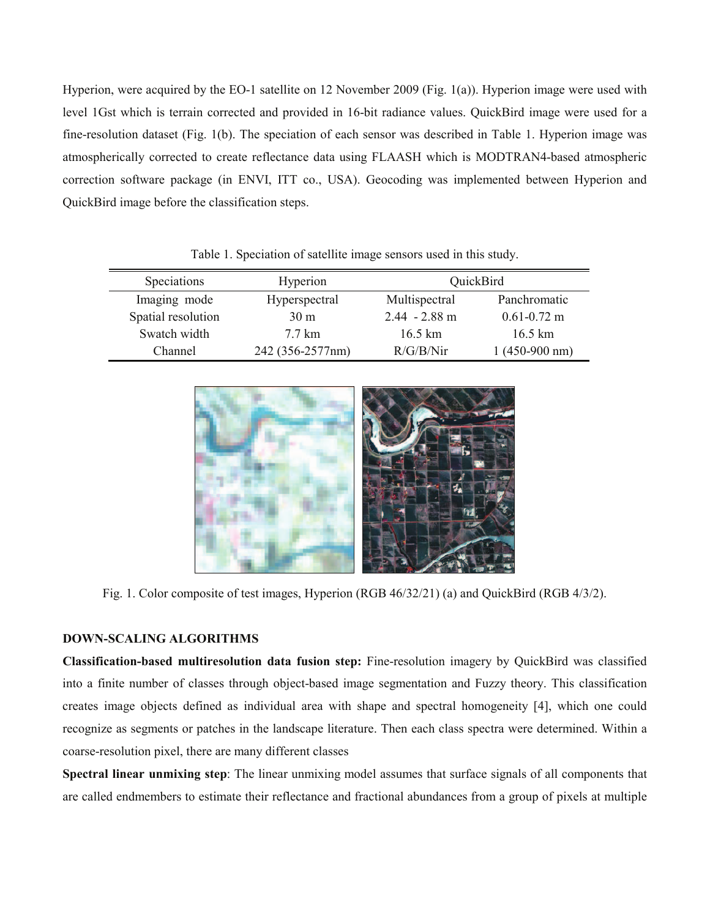Hyperion, were acquired by the EO-1 satellite on 12 November 2009 (Fig. 1(a)). Hyperion image were used with level 1Gst which is terrain corrected and provided in 16-bit radiance values. QuickBird image were used for a fine-resolution dataset (Fig. 1(b). The speciation of each sensor was described in Table 1. Hyperion image was atmospherically corrected to create reflectance data using FLAASH which is MODTRAN4-based atmospheric correction software package (in ENVI, ITT co., USA). Geocoding was implemented between Hyperion and QuickBird image before the classification steps.

| Speciations        | Hyperion         | QuickBird       |                 |
|--------------------|------------------|-----------------|-----------------|
| Imaging mode       | Hyperspectral    | Multispectral   | Panchromatic    |
| Spatial resolution | 30 <sub>m</sub>  | $2.44 - 2.88$ m | $0.61 - 0.72$ m |
| Swatch width       | 7.7 km           | 16.5 km         | 16.5 km         |
| Channel            | 242 (356-2577nm) | R/G/B/Nir       | $1(450-900 nm)$ |

Table 1. Speciation of satellite image sensors used in this study.



Fig. 1. Color composite of test images, Hyperion (RGB 46/32/21) (a) and QuickBird (RGB 4/3/2).

# **DOWN-SCALING ALGORITHMS**

**Classification-based multiresolution data fusion step:** Fine-resolution imagery by QuickBird was classified into a finite number of classes through object-based image segmentation and Fuzzy theory. This classification creates image objects defined as individual area with shape and spectral homogeneity [4], which one could recognize as segments or patches in the landscape literature. Then each class spectra were determined. Within a coarse-resolution pixel, there are many different classes

**Spectral linear unmixing step**: The linear unmixing model assumes that surface signals of all components that are called endmembers to estimate their reflectance and fractional abundances from a group of pixels at multiple